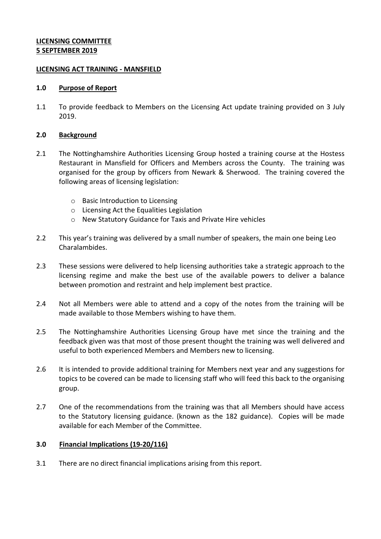## **LICENSING COMMITTEE 5 SEPTEMBER 2019**

#### **LICENSING ACT TRAINING - MANSFIELD**

#### **1.0 Purpose of Report**

1.1 To provide feedback to Members on the Licensing Act update training provided on 3 July 2019.

## **2.0 Background**

- 2.1 The Nottinghamshire Authorities Licensing Group hosted a training course at the Hostess Restaurant in Mansfield for Officers and Members across the County. The training was organised for the group by officers from Newark & Sherwood. The training covered the following areas of licensing legislation:
	- o Basic Introduction to Licensing
	- o Licensing Act the Equalities Legislation
	- o New Statutory Guidance for Taxis and Private Hire vehicles
- 2.2 This year's training was delivered by a small number of speakers, the main one being Leo Charalambides.
- 2.3 These sessions were delivered to help licensing authorities take a strategic approach to the licensing regime and make the best use of the available powers to deliver a balance between promotion and restraint and help implement best practice.
- 2.4 Not all Members were able to attend and a copy of the notes from the training will be made available to those Members wishing to have them.
- 2.5 The Nottinghamshire Authorities Licensing Group have met since the training and the feedback given was that most of those present thought the training was well delivered and useful to both experienced Members and Members new to licensing.
- 2.6 It is intended to provide additional training for Members next year and any suggestions for topics to be covered can be made to licensing staff who will feed this back to the organising group.
- 2.7 One of the recommendations from the training was that all Members should have access to the Statutory licensing guidance. (known as the 182 guidance). Copies will be made available for each Member of the Committee.

# **3.0 Financial Implications (19-20/116)**

3.1 There are no direct financial implications arising from this report.